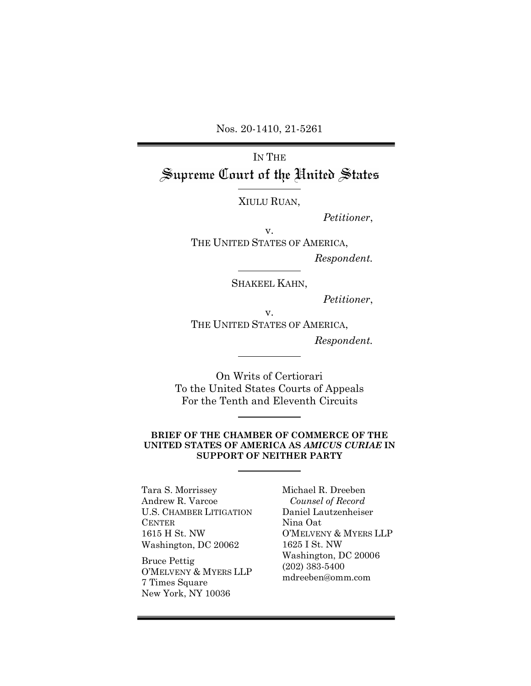Nos. 20-1410, 21-5261

# IN THE Supreme Court of the United States

XIULU RUAN,

*Petitioner*,

v. THE UNITED STATES OF AMERICA,

*Respondent.*

SHAKEEL KAHN,

*Petitioner*,

v. THE UNITED STATES OF AMERICA,

*Respondent.*

On Writs of Certiorari To the United States Courts of Appeals For the Tenth and Eleventh Circuits

### **BRIEF OF THE CHAMBER OF COMMERCE OF THE UNITED STATES OF AMERICA AS** *AMICUS CURIAE* **IN SUPPORT OF NEITHER PARTY**

Tara S. Morrissey Andrew R. Varcoe U.S. CHAMBER LITIGATION **CENTER** 1615 H St. NW Washington, DC 20062

Bruce Pettig O'MELVENY & MYERS LLP 7 Times Square New York, NY 10036

Michael R. Dreeben *Counsel of Record* Daniel Lautzenheiser Nina Oat O'MELVENY & MYERS LLP 1625 I St. NW Washington, DC 20006 (202) 383-5400 mdreeben@omm.com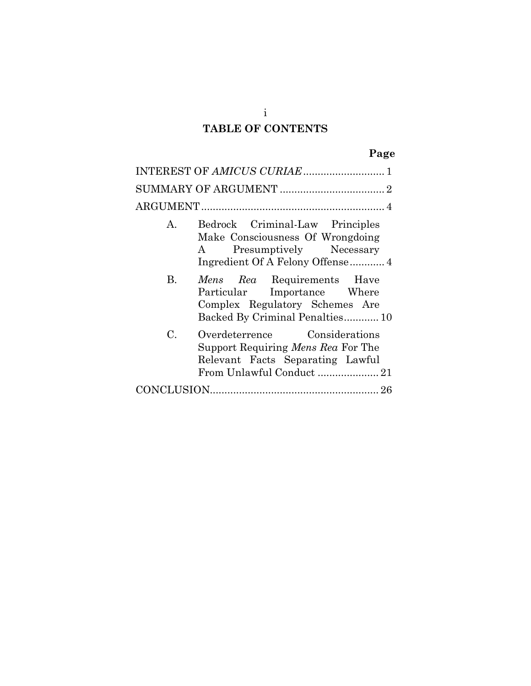## **TABLE OF CONTENTS**

| INTEREST OF AMICUS CURIAE  1 |                                                                                                                                           |  |  |  |
|------------------------------|-------------------------------------------------------------------------------------------------------------------------------------------|--|--|--|
|                              |                                                                                                                                           |  |  |  |
|                              |                                                                                                                                           |  |  |  |
| A.                           | Bedrock Criminal-Law Principles<br>Make Consciousness Of Wrongdoing<br>Presumptively Necessary<br>$\rm A$                                 |  |  |  |
| B.                           | <i>Mens Rea</i> Requirements Have<br>Particular Importance Where<br>Complex Regulatory Schemes Are<br>Backed By Criminal Penalties 10     |  |  |  |
| C.                           | Overdeterrence Considerations<br>Support Requiring <i>Mens Rea</i> For The<br>Relevant Facts Separating Lawful<br>From Unlawful Conduct21 |  |  |  |
|                              |                                                                                                                                           |  |  |  |

i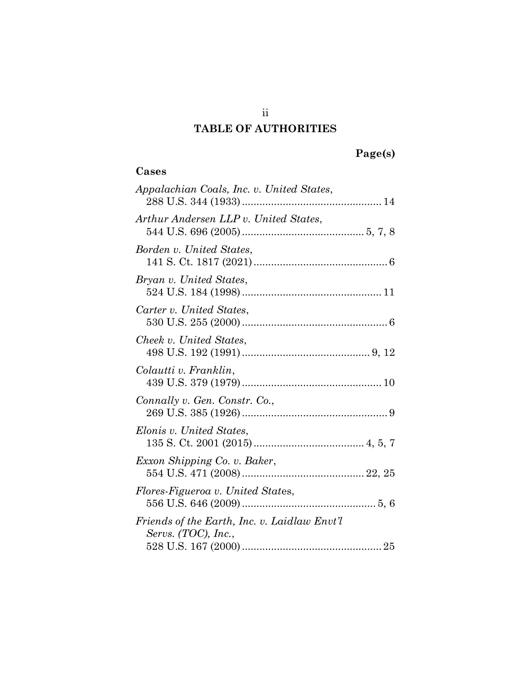## **TABLE OF AUTHORITIES**

## **Page(s)**

### **Cases**

ii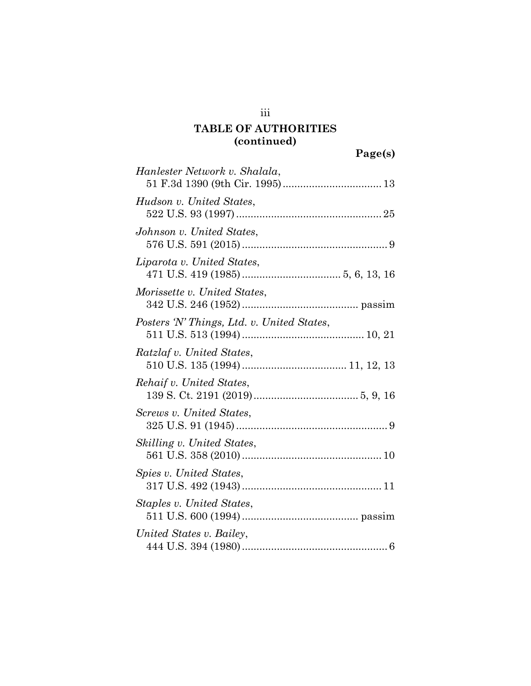| Hanlester Network v. Shalala,              |
|--------------------------------------------|
| Hudson v. United States,                   |
| Johnson v. United States,                  |
| Liparota v. United States,                 |
| Morissette v. United States,               |
| Posters 'N' Things, Ltd. v. United States, |
| Ratzlaf v. United States,                  |
| Rehaif v. United States,                   |
| Screws v. United States,                   |
| Skilling v. United States,                 |
| Spies v. United States,                    |
| Staples v. United States,                  |
| United States v. Bailey,                   |

iii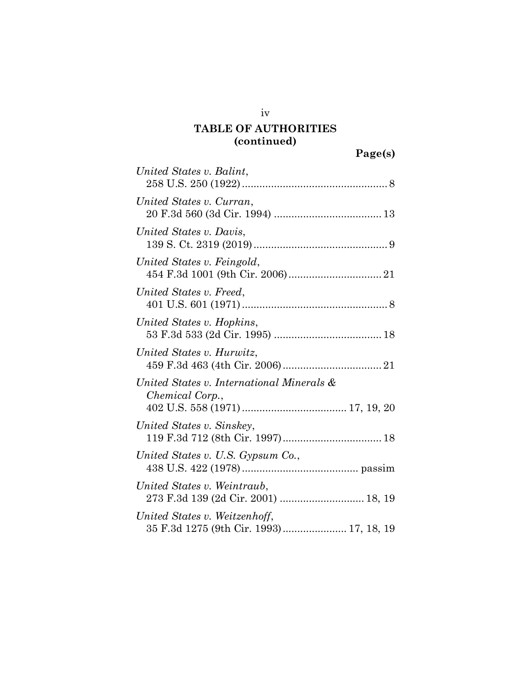| United States v. Balint,                                                 |
|--------------------------------------------------------------------------|
| United States v. Curran,                                                 |
| United States v. Davis,                                                  |
| United States v. Feingold,                                               |
| United States v. Freed,                                                  |
| United States v. Hopkins,                                                |
| United States v. Hurwitz,                                                |
| United States v. International Minerals &<br>Chemical Corp.,             |
| United States v. Sinskey,                                                |
| United States v. U.S. Gypsum Co.,                                        |
| United States v. Weintraub,<br>273 F.3d 139 (2d Cir. 2001)  18, 19       |
| United States v. Weitzenhoff,<br>35 F.3d 1275 (9th Cir. 1993) 17, 18, 19 |

iv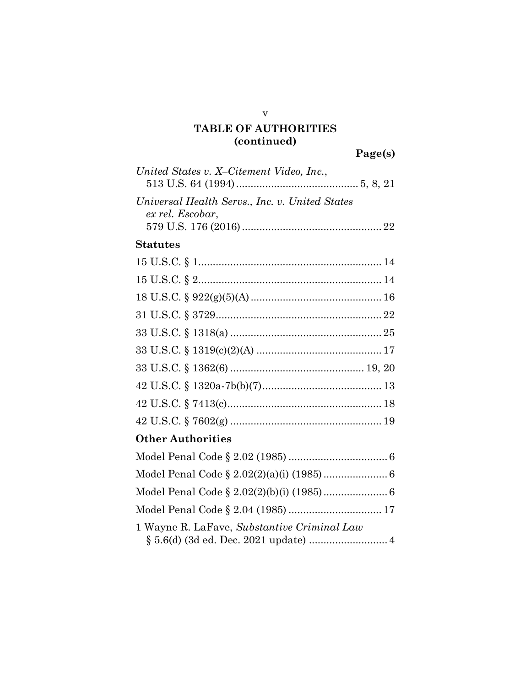| United States v. X-Citement Video, Inc.,                           |  |
|--------------------------------------------------------------------|--|
| Universal Health Servs., Inc. v. United States<br>ex rel. Escobar, |  |
| <b>Statutes</b>                                                    |  |
|                                                                    |  |
|                                                                    |  |
|                                                                    |  |
|                                                                    |  |
|                                                                    |  |
|                                                                    |  |
|                                                                    |  |
|                                                                    |  |
|                                                                    |  |
|                                                                    |  |
| <b>Other Authorities</b>                                           |  |
|                                                                    |  |
|                                                                    |  |
|                                                                    |  |
|                                                                    |  |
| 1 Wayne R. LaFave, Substantive Criminal Law                        |  |

v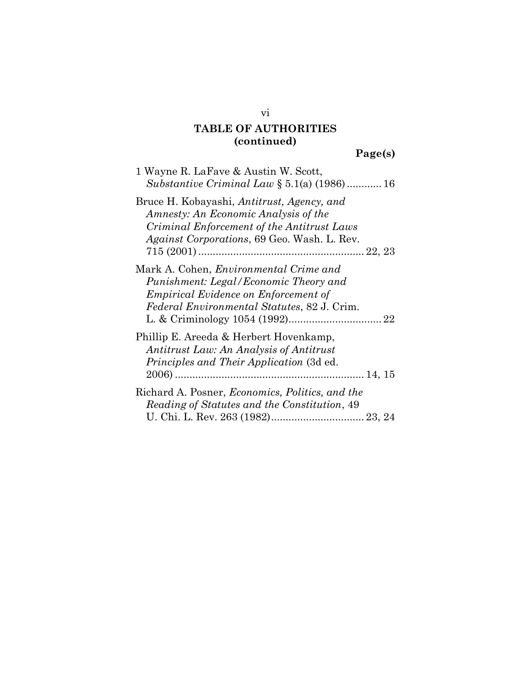## **Page(s)**

| 1 Wayne R. LaFave & Austin W. Scott,<br><i>Substantive Criminal Law</i> $\S 5.1(a)$ (1986)  16                                                                                         |
|----------------------------------------------------------------------------------------------------------------------------------------------------------------------------------------|
| Bruce H. Kobayashi, Antitrust, Agency, and<br>Amnesty: An Economic Analysis of the<br>Criminal Enforcement of the Antitrust Laws<br><i>Against Corporations, 69 Geo. Wash. L. Rev.</i> |
| Mark A. Cohen, <i>Environmental Crime and</i><br>Punishment: Legal/Economic Theory and<br><i>Empirical Evidence on Enforcement of</i><br>Federal Environmental Statutes, 82 J. Crim.   |
| Phillip E. Areeda & Herbert Hovenkamp,<br>Antitrust Law: An Analysis of Antitrust<br><i>Principles and Their Application (3d ed.</i>                                                   |
| Richard A. Posner, <i>Economics</i> , <i>Politics</i> , and the<br>Reading of Statutes and the Constitution, 49                                                                        |

vi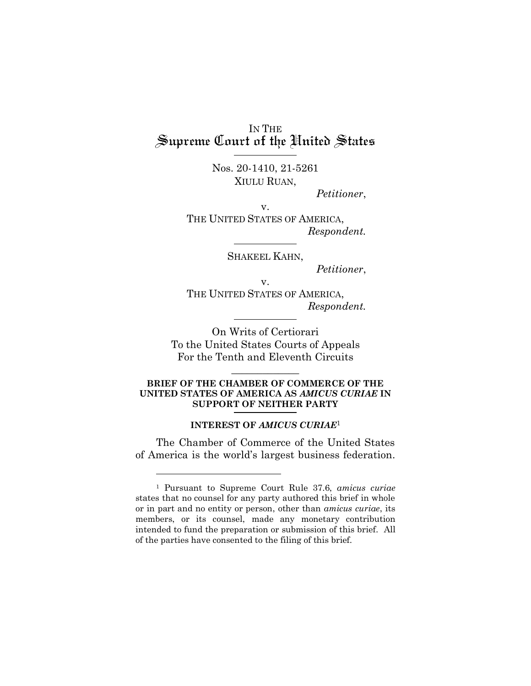IN THE<br>Supreme Court of the United States

Nos. 20-1410, 21-5261 XIULU RUAN,

*Petitioner*,

v.

THE UNITED STATES OF AMERICA, *Respondent.*

SHAKEEL KAHN,

*Petitioner*,

v. THE UNITED STATES OF AMERICA, *Respondent.*

On Writs of Certiorari To the United States Courts of Appeals For the Tenth and Eleventh Circuits

### **BRIEF OF THE CHAMBER OF COMMERCE OF THE UNITED STATES OF AMERICA AS** *AMICUS CURIAE* **IN SUPPORT OF NEITHER PARTY**

 $\frac{1}{2}$  ,  $\frac{1}{2}$  ,  $\frac{1}{2}$  ,  $\frac{1}{2}$  ,  $\frac{1}{2}$  ,  $\frac{1}{2}$ 

### **INTEREST OF** *AMICUS CURIAE*<sup>1</sup>

<span id="page-7-0"></span>The Chamber of Commerce of the United States of America is the world's largest business federation.

<sup>1</sup> Pursuant to Supreme Court Rule 37.6, *amicus curiae* states that no counsel for any party authored this brief in whole or in part and no entity or person, other than *amicus curiae*, its members, or its counsel, made any monetary contribution intended to fund the preparation or submission of this brief. All of the parties have consented to the filing of this brief.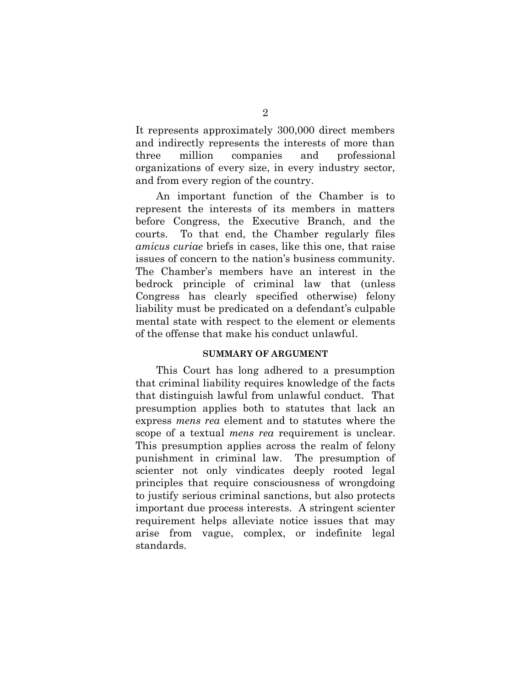It represents approximately 300,000 direct members and indirectly represents the interests of more than three million companies and professional organizations of every size, in every industry sector, and from every region of the country.

An important function of the Chamber is to represent the interests of its members in matters before Congress, the Executive Branch, and the courts. To that end, the Chamber regularly files *amicus curiae* briefs in cases, like this one, that raise issues of concern to the nation's business community. The Chamber's members have an interest in the bedrock principle of criminal law that (unless Congress has clearly specified otherwise) felony liability must be predicated on a defendant's culpable mental state with respect to the element or elements of the offense that make his conduct unlawful.

### **SUMMARY OF ARGUMENT**

<span id="page-8-0"></span>This Court has long adhered to a presumption that criminal liability requires knowledge of the facts that distinguish lawful from unlawful conduct. That presumption applies both to statutes that lack an express *mens rea* element and to statutes where the scope of a textual *mens rea* requirement is unclear. This presumption applies across the realm of felony punishment in criminal law. The presumption of scienter not only vindicates deeply rooted legal principles that require consciousness of wrongdoing to justify serious criminal sanctions, but also protects important due process interests. A stringent scienter requirement helps alleviate notice issues that may arise from vague, complex, or indefinite legal standards.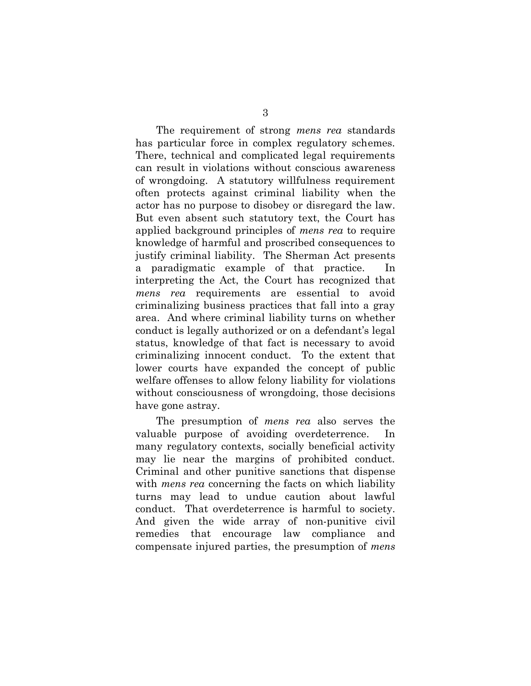The requirement of strong *mens rea* standards has particular force in complex regulatory schemes. There, technical and complicated legal requirements can result in violations without conscious awareness of wrongdoing. A statutory willfulness requirement often protects against criminal liability when the actor has no purpose to disobey or disregard the law. But even absent such statutory text, the Court has applied background principles of *mens rea* to require knowledge of harmful and proscribed consequences to justify criminal liability. The Sherman Act presents a paradigmatic example of that practice. In interpreting the Act, the Court has recognized that *mens rea* requirements are essential to avoid criminalizing business practices that fall into a gray area. And where criminal liability turns on whether conduct is legally authorized or on a defendant's legal status, knowledge of that fact is necessary to avoid criminalizing innocent conduct. To the extent that lower courts have expanded the concept of public welfare offenses to allow felony liability for violations without consciousness of wrongdoing, those decisions have gone astray.

The presumption of *mens rea* also serves the valuable purpose of avoiding overdeterrence. In many regulatory contexts, socially beneficial activity may lie near the margins of prohibited conduct. Criminal and other punitive sanctions that dispense with *mens rea* concerning the facts on which liability turns may lead to undue caution about lawful conduct. That overdeterrence is harmful to society. And given the wide array of non-punitive civil remedies that encourage law compliance and compensate injured parties, the presumption of *mens*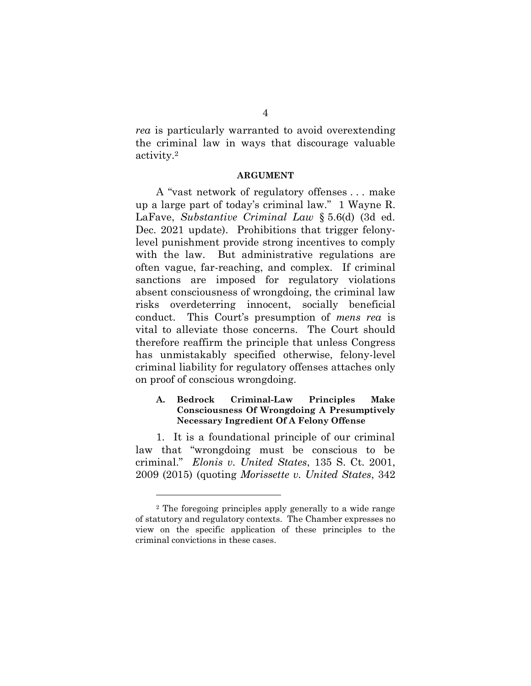*rea* is particularly warranted to avoid overextending the criminal law in ways that discourage valuable activity. 2

#### **ARGUMENT**

<span id="page-10-0"></span>A "vast network of regulatory offenses . . . make up a large part of today's criminal law." 1 Wayne R. LaFave, *Substantive Criminal Law* § 5.6(d) (3d ed. Dec. 2021 update). Prohibitions that trigger felonylevel punishment provide strong incentives to comply with the law. But administrative regulations are often vague, far-reaching, and complex. If criminal sanctions are imposed for regulatory violations absent consciousness of wrongdoing, the criminal law risks overdeterring innocent, socially beneficial conduct. This Court's presumption of *mens rea* is vital to alleviate those concerns. The Court should therefore reaffirm the principle that unless Congress has unmistakably specified otherwise, felony-level criminal liability for regulatory offenses attaches only on proof of conscious wrongdoing.

### <span id="page-10-1"></span>**A. Bedrock Criminal-Law Principles Make Consciousness Of Wrongdoing A Presumptively Necessary Ingredient Of A Felony Offense**

1. It is a foundational principle of our criminal law that "wrongdoing must be conscious to be criminal." *Elonis v. United States*, 135 S. Ct. 2001, 2009 (2015) (quoting *Morissette v. United States*, 342

<sup>2</sup> The foregoing principles apply generally to a wide range of statutory and regulatory contexts. The Chamber expresses no view on the specific application of these principles to the criminal convictions in these cases.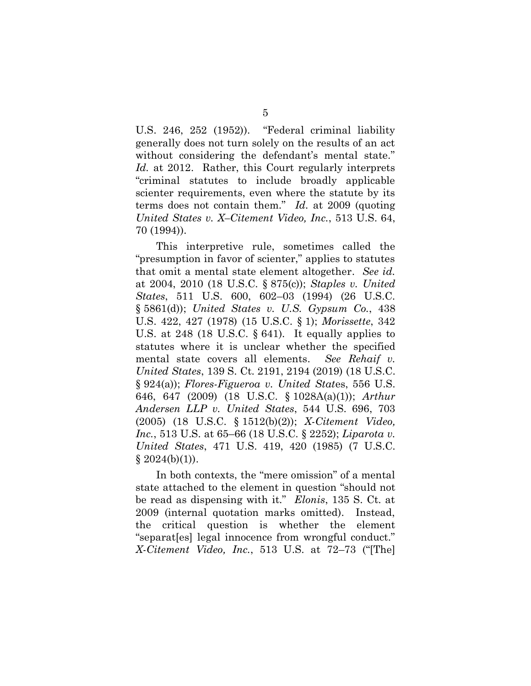U.S. 246, 252 (1952)). "Federal criminal liability generally does not turn solely on the results of an act without considering the defendant's mental state." *Id.* at 2012. Rather, this Court regularly interprets "criminal statutes to include broadly applicable scienter requirements, even where the statute by its terms does not contain them." *Id.* at 2009 (quoting *United States v. X–Citement Video, Inc.*, 513 U.S. 64, 70 (1994)).

This interpretive rule, sometimes called the "presumption in favor of scienter," applies to statutes that omit a mental state element altogether. *See id.* at 2004, 2010 (18 U.S.C. § 875(c)); *Staples v. United States*, 511 U.S. 600, 602–03 (1994) (26 U.S.C. § 5861(d)); *United States v. U.S. Gypsum Co.*, 438 U.S. 422, 427 (1978) (15 U.S.C. § 1); *Morissette*, 342 U.S. at 248 (18 U.S.C.  $\S 641$ ). It equally applies to statutes where it is unclear whether the specified mental state covers all elements. *See Rehaif v. United States*, 139 S. Ct. 2191, 2194 (2019) (18 U.S.C. § 924(a)); *Flores-Figueroa v. United Stat*es, 556 U.S. 646, 647 (2009) (18 U.S.C. § 1028A(a)(1)); *Arthur Andersen LLP v. United States*, 544 U.S. 696, 703 (2005) (18 U.S.C. § 1512(b)(2)); *X-Citement Video, Inc.*, 513 U.S. at 65–66 (18 U.S.C. § 2252); *Liparota v. United States*, 471 U.S. 419, 420 (1985) (7 U.S.C.  $§ 2024(b)(1)).$ 

In both contexts, the "mere omission" of a mental state attached to the element in question "should not be read as dispensing with it." *Elonis*, 135 S. Ct. at 2009 (internal quotation marks omitted). Instead, the critical question is whether the element "separat[es] legal innocence from wrongful conduct." *X-Citement Video, Inc.*, 513 U.S. at 72–73 ("[The]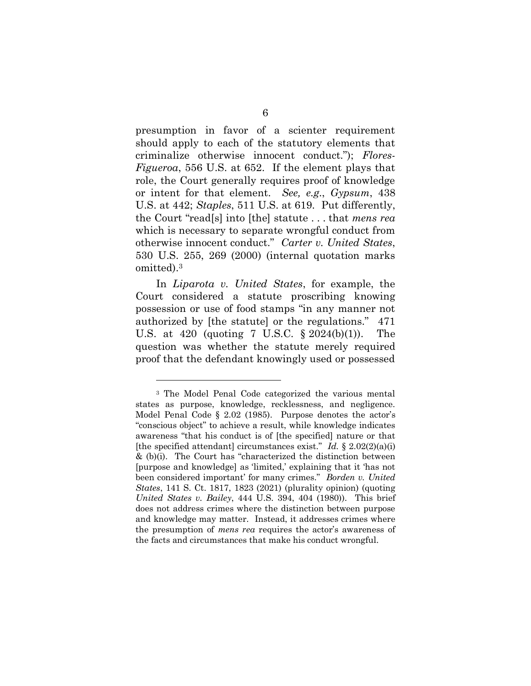presumption in favor of a scienter requirement should apply to each of the statutory elements that criminalize otherwise innocent conduct."); *Flores-Figueroa*, 556 U.S. at 652. If the element plays that role, the Court generally requires proof of knowledge or intent for that element. *See, e.g.*, *Gypsum*, 438 U.S. at 442; *Staples*, 511 U.S. at 619. Put differently, the Court "read[s] into [the] statute . . . that *mens rea* which is necessary to separate wrongful conduct from otherwise innocent conduct." *Carter v. United States*, 530 U.S. 255, 269 (2000) (internal quotation marks omitted). 3

In *Liparota v. United States*, for example, the Court considered a statute proscribing knowing possession or use of food stamps "in any manner not authorized by [the statute] or the regulations." 471 U.S. at 420 (quoting 7 U.S.C. § 2024(b)(1)). The question was whether the statute merely required proof that the defendant knowingly used or possessed

<sup>3</sup> The Model Penal Code categorized the various mental states as purpose, knowledge, recklessness, and negligence. Model Penal Code § 2.02 (1985). Purpose denotes the actor's "conscious object" to achieve a result, while knowledge indicates awareness "that his conduct is of [the specified] nature or that [the specified attendant] circumstances exist." *Id.*  $\frac{8}{2.02(2)(a)(i)}$  $&$  (b)(i). The Court has "characterized the distinction between [purpose and knowledge] as 'limited,' explaining that it 'has not been considered important' for many crimes." *Borden v. United States*, 141 S. Ct. 1817, 1823 (2021) (plurality opinion) (quoting *United States v. Bailey*, 444 U.S. 394, 404 (1980)). This brief does not address crimes where the distinction between purpose and knowledge may matter. Instead, it addresses crimes where the presumption of *mens rea* requires the actor's awareness of the facts and circumstances that make his conduct wrongful.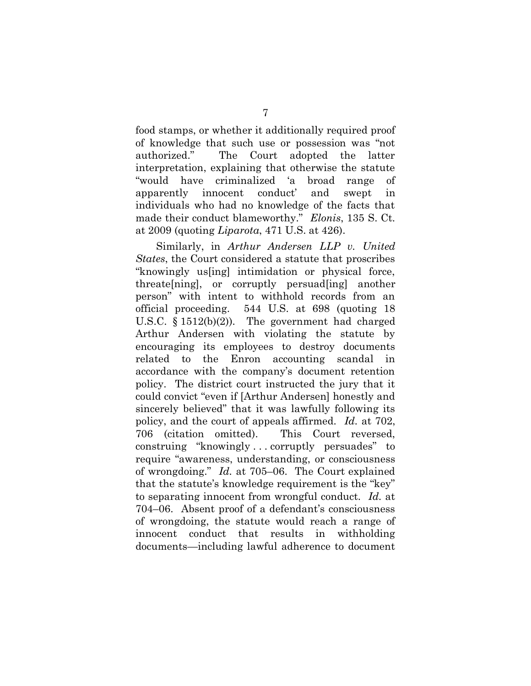food stamps, or whether it additionally required proof of knowledge that such use or possession was "not authorized." The Court adopted the latter interpretation, explaining that otherwise the statute "would have criminalized 'a broad range of apparently innocent conduct' and swept in individuals who had no knowledge of the facts that made their conduct blameworthy." *Elonis*, 135 S. Ct. at 2009 (quoting *Liparota*, 471 U.S. at 426).

Similarly, in *Arthur Andersen LLP v. United States*, the Court considered a statute that proscribes "knowingly us[ing] intimidation or physical force, threate[ning], or corruptly persuad[ing] another person" with intent to withhold records from an official proceeding. 544 U.S. at 698 (quoting 18 U.S.C. § 1512(b)(2)). The government had charged Arthur Andersen with violating the statute by encouraging its employees to destroy documents related to the Enron accounting scandal in accordance with the company's document retention policy. The district court instructed the jury that it could convict "even if [Arthur Andersen] honestly and sincerely believed" that it was lawfully following its policy, and the court of appeals affirmed. *Id.* at 702, 706 (citation omitted). This Court reversed, construing "knowingly . . . corruptly persuades" to require "awareness, understanding, or consciousness of wrongdoing." *Id.* at 705–06. The Court explained that the statute's knowledge requirement is the "key" to separating innocent from wrongful conduct. *Id.* at 704–06. Absent proof of a defendant's consciousness of wrongdoing, the statute would reach a range of innocent conduct that results in withholding documents—including lawful adherence to document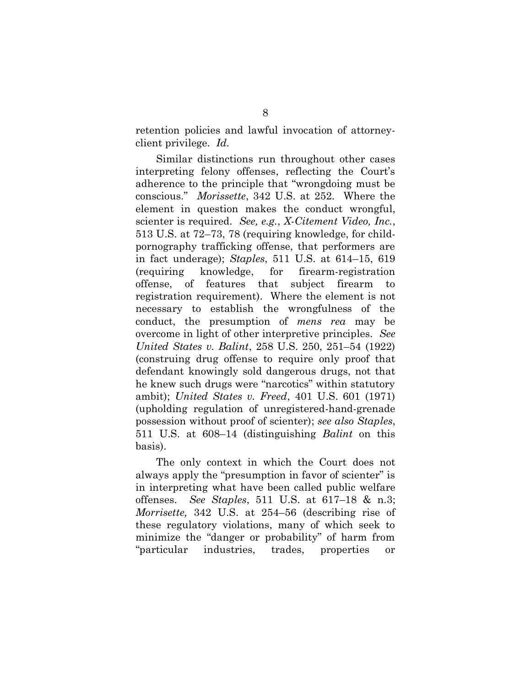retention policies and lawful invocation of attorneyclient privilege. *Id.*

Similar distinctions run throughout other cases interpreting felony offenses, reflecting the Court's adherence to the principle that "wrongdoing must be conscious." *Morissette*, 342 U.S. at 252. Where the element in question makes the conduct wrongful, scienter is required. *See, e.g.*, *X-Citement Video, Inc.*, 513 U.S. at 72–73, 78 (requiring knowledge, for childpornography trafficking offense, that performers are in fact underage); *Staples*, 511 U.S. at 614–15, 619 (requiring knowledge, for firearm-registration offense, of features that subject firearm to registration requirement). Where the element is not necessary to establish the wrongfulness of the conduct, the presumption of *mens rea* may be overcome in light of other interpretive principles. *See United States v. Balint*, 258 U.S. 250, 251–54 (1922) (construing drug offense to require only proof that defendant knowingly sold dangerous drugs, not that he knew such drugs were "narcotics" within statutory ambit); *United States v. Freed*, 401 U.S. 601 (1971) (upholding regulation of unregistered-hand-grenade possession without proof of scienter); *see also Staples*, 511 U.S. at 608–14 (distinguishing *Balint* on this basis).

The only context in which the Court does not always apply the "presumption in favor of scienter" is in interpreting what have been called public welfare offenses. *See Staples*, 511 U.S. at 617–18 & n.3; *Morrisette,* 342 U.S. at 254–56 (describing rise of these regulatory violations, many of which seek to minimize the "danger or probability" of harm from "particular industries, trades, properties or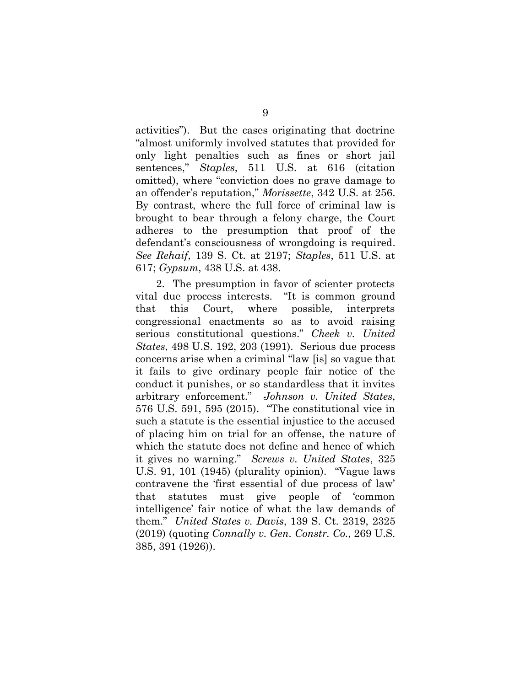activities"). But the cases originating that doctrine "almost uniformly involved statutes that provided for only light penalties such as fines or short jail sentences," *Staples*, 511 U.S. at 616 (citation omitted), where "conviction does no grave damage to an offender's reputation," *Morissette*, 342 U.S. at 256. By contrast, where the full force of criminal law is brought to bear through a felony charge, the Court adheres to the presumption that proof of the defendant's consciousness of wrongdoing is required. *See Rehaif*, 139 S. Ct. at 2197; *Staples*, 511 U.S. at 617; *Gypsum*, 438 U.S. at 438.

2. The presumption in favor of scienter protects vital due process interests. "It is common ground that this Court, where possible, interprets congressional enactments so as to avoid raising serious constitutional questions." *Cheek v. United States*, 498 U.S. 192, 203 (1991). Serious due process concerns arise when a criminal "law [is] so vague that it fails to give ordinary people fair notice of the conduct it punishes, or so standardless that it invites arbitrary enforcement." *Johnson v. United States*, 576 U.S. 591, 595 (2015). "The constitutional vice in such a statute is the essential injustice to the accused of placing him on trial for an offense, the nature of which the statute does not define and hence of which it gives no warning." *Screws v. United States*, 325 U.S. 91, 101 (1945) (plurality opinion). "Vague laws contravene the 'first essential of due process of law' that statutes must give people of 'common intelligence' fair notice of what the law demands of them." *United States v. Davis*, 139 S. Ct. 2319, 2325 (2019) (quoting *Connally v. Gen. Constr. Co.*, 269 U.S. 385, 391 (1926)).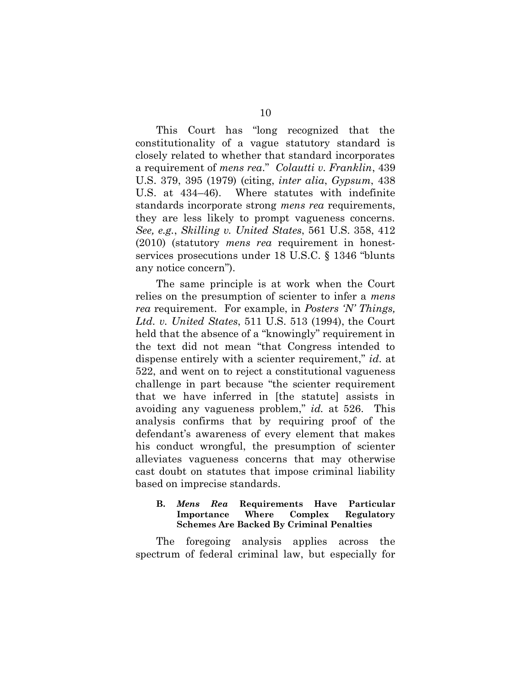This Court has "long recognized that the constitutionality of a vague statutory standard is closely related to whether that standard incorporates a requirement of *mens rea*." *Colautti v. Franklin*, 439 U.S. 379, 395 (1979) (citing, *inter alia*, *Gypsum*, 438 U.S. at 434–46). Where statutes with indefinite standards incorporate strong *mens rea* requirements, they are less likely to prompt vagueness concerns. *See, e.g.*, *Skilling v. United States*, 561 U.S. 358, 412 (2010) (statutory *mens rea* requirement in honestservices prosecutions under 18 U.S.C. § 1346 "blunts any notice concern").

The same principle is at work when the Court relies on the presumption of scienter to infer a *mens rea* requirement. For example, in *Posters 'N' Things, Ltd. v. United States*, 511 U.S. 513 (1994), the Court held that the absence of a "knowingly" requirement in the text did not mean "that Congress intended to dispense entirely with a scienter requirement," *id.* at 522, and went on to reject a constitutional vagueness challenge in part because "the scienter requirement that we have inferred in [the statute] assists in avoiding any vagueness problem," *id.* at 526. This analysis confirms that by requiring proof of the defendant's awareness of every element that makes his conduct wrongful, the presumption of scienter alleviates vagueness concerns that may otherwise cast doubt on statutes that impose criminal liability based on imprecise standards.

### <span id="page-16-0"></span>**B.** *Mens Rea* **Requirements Have Particular Importance Where Complex Regulatory Schemes Are Backed By Criminal Penalties**

The foregoing analysis applies across the spectrum of federal criminal law, but especially for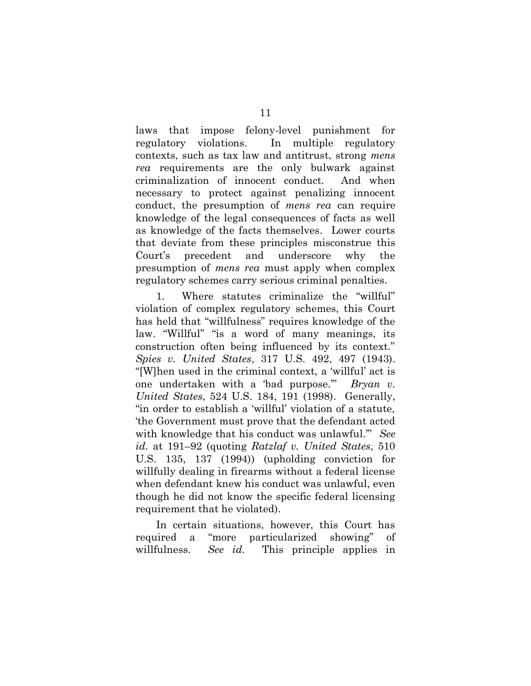laws that impose felony-level punishment for regulatory violations. In multiple regulatory contexts, such as tax law and antitrust, strong *mens rea* requirements are the only bulwark against criminalization of innocent conduct. And when necessary to protect against penalizing innocent conduct, the presumption of *mens rea* can require knowledge of the legal consequences of facts as well as knowledge of the facts themselves. Lower courts that deviate from these principles misconstrue this Court's precedent and underscore why the presumption of *mens rea* must apply when complex regulatory schemes carry serious criminal penalties.

1. Where statutes criminalize the "willful" violation of complex regulatory schemes, this Court has held that "willfulness" requires knowledge of the law. "Willful" "is a word of many meanings, its construction often being influenced by its context." *Spies v. United States*, 317 U.S. 492, 497 (1943). "[W]hen used in the criminal context, a 'willful' act is one undertaken with a 'bad purpose.'" *Bryan v. United States*, 524 U.S. 184, 191 (1998). Generally, "in order to establish a 'willful' violation of a statute, 'the Government must prove that the defendant acted with knowledge that his conduct was unlawful.'" *See id.* at 191–92 (quoting *Ratzlaf v. United States*, 510 U.S. 135, 137 (1994)) (upholding conviction for willfully dealing in firearms without a federal license when defendant knew his conduct was unlawful, even though he did not know the specific federal licensing requirement that he violated).

In certain situations, however, this Court has required a "more particularized showing" of willfulness. *See id.* This principle applies in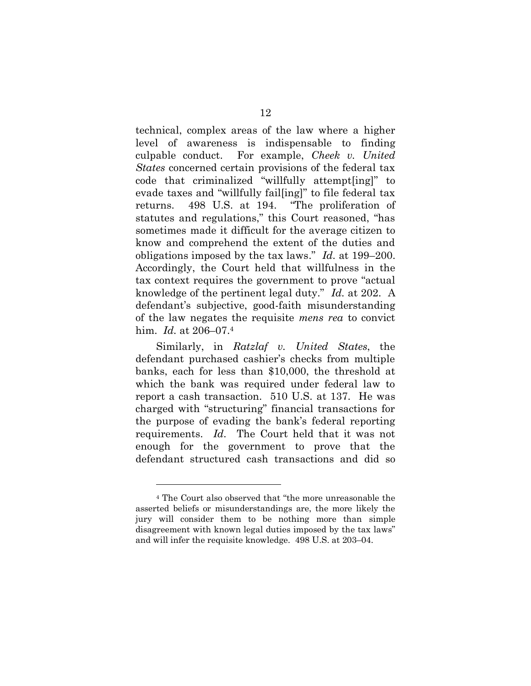technical, complex areas of the law where a higher level of awareness is indispensable to finding culpable conduct. For example, *Cheek v. United States* concerned certain provisions of the federal tax code that criminalized "willfully attempt[ing]" to evade taxes and "willfully fail[ing]" to file federal tax returns. 498 U.S. at 194. "The proliferation of statutes and regulations," this Court reasoned, "has sometimes made it difficult for the average citizen to know and comprehend the extent of the duties and obligations imposed by the tax laws." *Id.* at 199–200. Accordingly, the Court held that willfulness in the tax context requires the government to prove "actual knowledge of the pertinent legal duty." *Id.* at 202. A defendant's subjective, good-faith misunderstanding of the law negates the requisite *mens rea* to convict him. *Id.* at 206–07.<sup>4</sup>

Similarly, in *Ratzlaf v. United States*, the defendant purchased cashier's checks from multiple banks, each for less than \$10,000, the threshold at which the bank was required under federal law to report a cash transaction. 510 U.S. at 137. He was charged with "structuring" financial transactions for the purpose of evading the bank's federal reporting requirements. *Id.* The Court held that it was not enough for the government to prove that the defendant structured cash transactions and did so

<sup>4</sup> The Court also observed that "the more unreasonable the asserted beliefs or misunderstandings are, the more likely the jury will consider them to be nothing more than simple disagreement with known legal duties imposed by the tax laws" and will infer the requisite knowledge. 498 U.S. at 203–04.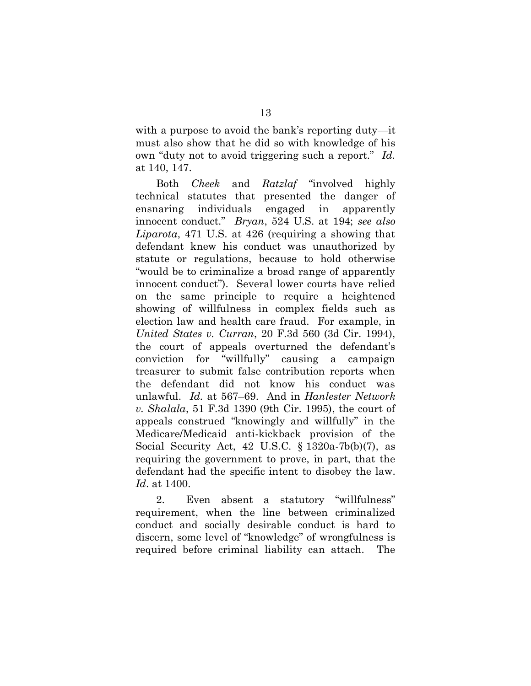with a purpose to avoid the bank's reporting duty—it must also show that he did so with knowledge of his own "duty not to avoid triggering such a report." *Id.* at 140, 147.

Both *Cheek* and *Ratzlaf* "involved highly technical statutes that presented the danger of ensnaring individuals engaged in apparently innocent conduct." *Bryan*, 524 U.S. at 194; *see also Liparota*, 471 U.S. at 426 (requiring a showing that defendant knew his conduct was unauthorized by statute or regulations, because to hold otherwise "would be to criminalize a broad range of apparently innocent conduct"). Several lower courts have relied on the same principle to require a heightened showing of willfulness in complex fields such as election law and health care fraud. For example, in *United States v. Curran*, 20 F.3d 560 (3d Cir. 1994), the court of appeals overturned the defendant's conviction for "willfully" causing a campaign treasurer to submit false contribution reports when the defendant did not know his conduct was unlawful. *Id.* at 567–69. And in *Hanlester Network v. Shalala*, 51 F.3d 1390 (9th Cir. 1995), the court of appeals construed "knowingly and willfully" in the Medicare/Medicaid anti-kickback provision of the Social Security Act, 42 U.S.C. § 1320a-7b(b)(7), as requiring the government to prove, in part, that the defendant had the specific intent to disobey the law. *Id*. at 1400.

2. Even absent a statutory "willfulness" requirement, when the line between criminalized conduct and socially desirable conduct is hard to discern, some level of "knowledge" of wrongfulness is required before criminal liability can attach. The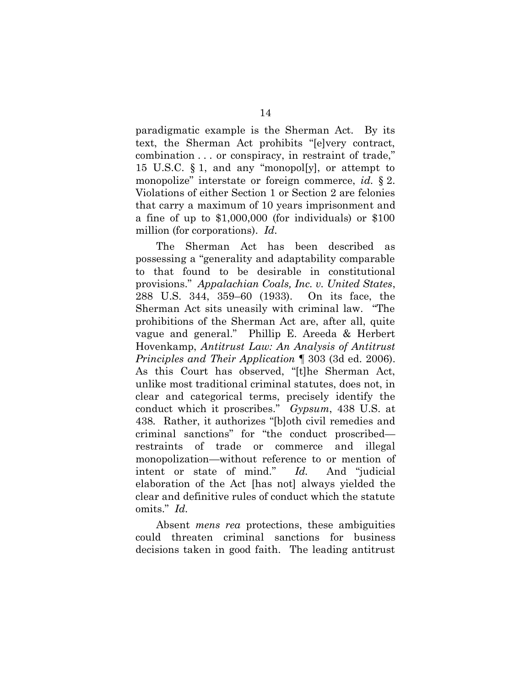paradigmatic example is the Sherman Act. By its text, the Sherman Act prohibits "[e]very contract, combination . . . or conspiracy, in restraint of trade," 15 U.S.C. § 1, and any "monopol[y], or attempt to monopolize" interstate or foreign commerce, *id.* § 2. Violations of either Section 1 or Section 2 are felonies that carry a maximum of 10 years imprisonment and a fine of up to \$1,000,000 (for individuals) or \$100 million (for corporations). *Id.*

The Sherman Act has been described as possessing a "generality and adaptability comparable to that found to be desirable in constitutional provisions." *Appalachian Coals, Inc. v. United States*, 288 U.S. 344, 359–60 (1933). On its face, the Sherman Act sits uneasily with criminal law. "The prohibitions of the Sherman Act are, after all, quite vague and general." Phillip E. Areeda & Herbert Hovenkamp, *Antitrust Law: An Analysis of Antitrust Principles and Their Application* ¶ 303 (3d ed. 2006). As this Court has observed, "[t]he Sherman Act, unlike most traditional criminal statutes, does not, in clear and categorical terms, precisely identify the conduct which it proscribes." *Gypsum*, 438 U.S. at 438*.* Rather, it authorizes "[b]oth civil remedies and criminal sanctions" for "the conduct proscribed restraints of trade or commerce and illegal monopolization—without reference to or mention of intent or state of mind." *Id.* And "judicial elaboration of the Act [has not] always yielded the clear and definitive rules of conduct which the statute omits." *Id.* 

Absent *mens rea* protections, these ambiguities could threaten criminal sanctions for business decisions taken in good faith. The leading antitrust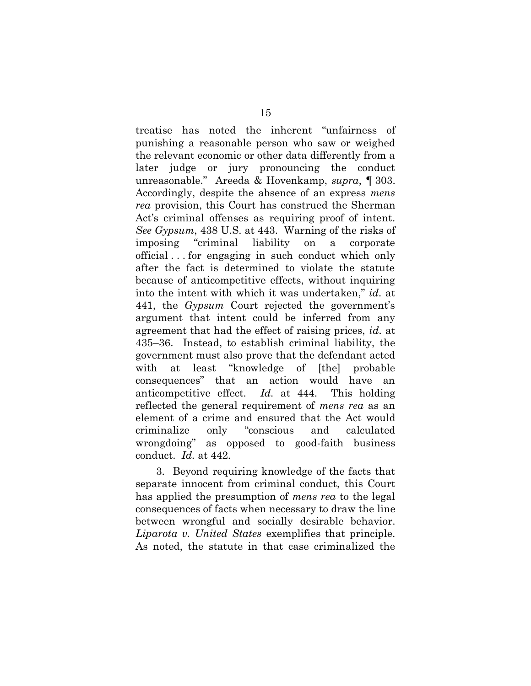treatise has noted the inherent "unfairness of punishing a reasonable person who saw or weighed the relevant economic or other data differently from a later judge or jury pronouncing the conduct unreasonable." Areeda & Hovenkamp, *supra*, ¶ 303. Accordingly, despite the absence of an express *mens rea* provision, this Court has construed the Sherman Act's criminal offenses as requiring proof of intent. *See Gypsum*, 438 U.S. at 443. Warning of the risks of imposing "criminal liability on a corporate official . . . for engaging in such conduct which only after the fact is determined to violate the statute because of anticompetitive effects, without inquiring into the intent with which it was undertaken," *id.* at 441, the *Gypsum* Court rejected the government's argument that intent could be inferred from any agreement that had the effect of raising prices, *id.* at 435–36. Instead, to establish criminal liability, the government must also prove that the defendant acted with at least "knowledge of [the] probable consequences" that an action would have an anticompetitive effect. *Id.* at 444. This holding reflected the general requirement of *mens rea* as an element of a crime and ensured that the Act would criminalize only "conscious and calculated wrongdoing" as opposed to good-faith business conduct. *Id.* at 442.

3. Beyond requiring knowledge of the facts that separate innocent from criminal conduct, this Court has applied the presumption of *mens rea* to the legal consequences of facts when necessary to draw the line between wrongful and socially desirable behavior. *Liparota v. United States* exemplifies that principle. As noted, the statute in that case criminalized the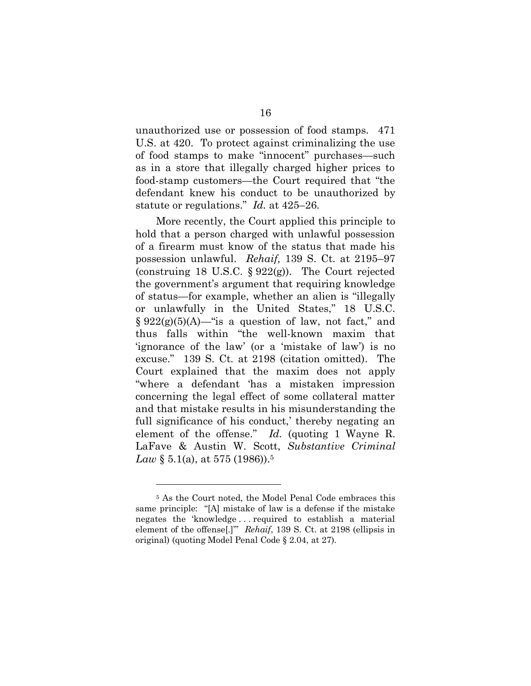unauthorized use or possession of food stamps. 471 U.S. at 420. To protect against criminalizing the use of food stamps to make "innocent" purchases—such as in a store that illegally charged higher prices to food-stamp customers—the Court required that "the defendant knew his conduct to be unauthorized by statute or regulations." *Id.* at 425–26.

More recently, the Court applied this principle to hold that a person charged with unlawful possession of a firearm must know of the status that made his possession unlawful. *Rehaif,* 139 S. Ct. at 2195–97 (construing 18 U.S.C.  $\S 922(g)$ ). The Court rejected the government's argument that requiring knowledge of status—for example, whether an alien is "illegally or unlawfully in the United States," 18 U.S.C.  $\S 922(g)(5)(A)$ —"is a question of law, not fact," and thus falls within "the well-known maxim that 'ignorance of the law' (or a 'mistake of law') is no excuse." 139 S. Ct. at 2198 (citation omitted). The Court explained that the maxim does not apply "where a defendant 'has a mistaken impression concerning the legal effect of some collateral matter and that mistake results in his misunderstanding the full significance of his conduct,' thereby negating an element of the offense." *Id.* (quoting 1 Wayne R. LaFave & Austin W. Scott, *Substantive Criminal Law* § 5.1(a), at 575 (1986)). 5

<sup>5</sup> As the Court noted, the Model Penal Code embraces this same principle: "[A] mistake of law is a defense if the mistake negates the 'knowledge . . . required to establish a material element of the offense[.]'" *Rehaif*, 139 S. Ct. at 2198 (ellipsis in original) (quoting Model Penal Code § 2.04, at 27).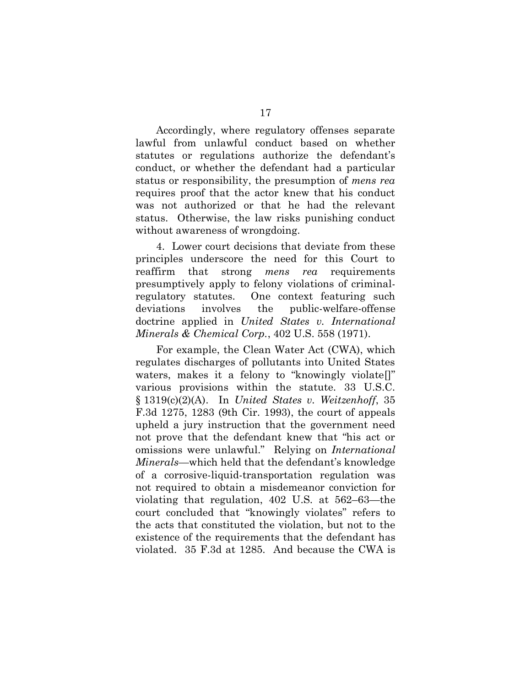Accordingly, where regulatory offenses separate lawful from unlawful conduct based on whether statutes or regulations authorize the defendant's conduct, or whether the defendant had a particular status or responsibility, the presumption of *mens rea*  requires proof that the actor knew that his conduct was not authorized or that he had the relevant status. Otherwise, the law risks punishing conduct without awareness of wrongdoing.

4. Lower court decisions that deviate from these principles underscore the need for this Court to reaffirm that strong *mens rea* requirements presumptively apply to felony violations of criminalregulatory statutes. One context featuring such deviations involves the public-welfare-offense doctrine applied in *United States v. International Minerals & Chemical Corp.*, 402 U.S. 558 (1971).

For example, the Clean Water Act (CWA), which regulates discharges of pollutants into United States waters, makes it a felony to "knowingly violate[]" various provisions within the statute. 33 U.S.C. § 1319(c)(2)(A). In *United States v. Weitzenhoff*, 35 F.3d 1275, 1283 (9th Cir. 1993), the court of appeals upheld a jury instruction that the government need not prove that the defendant knew that "his act or omissions were unlawful." Relying on *International Minerals*—which held that the defendant's knowledge of a corrosive-liquid-transportation regulation was not required to obtain a misdemeanor conviction for violating that regulation, 402 U.S. at 562–63—the court concluded that "knowingly violates" refers to the acts that constituted the violation, but not to the existence of the requirements that the defendant has violated. 35 F.3d at 1285. And because the CWA is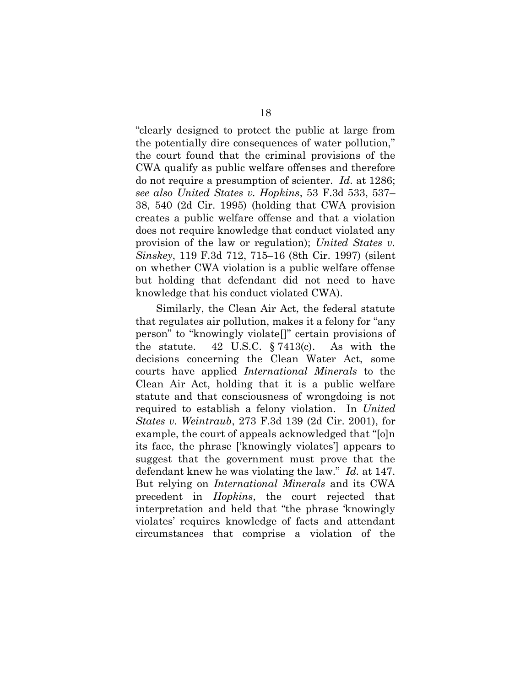"clearly designed to protect the public at large from the potentially dire consequences of water pollution," the court found that the criminal provisions of the CWA qualify as public welfare offenses and therefore do not require a presumption of scienter. *Id.* at 1286; *see also United States v. Hopkins*, 53 F.3d 533, 537– 38, 540 (2d Cir. 1995) (holding that CWA provision creates a public welfare offense and that a violation does not require knowledge that conduct violated any provision of the law or regulation); *United States v. Sinskey*, 119 F.3d 712, 715–16 (8th Cir. 1997) (silent on whether CWA violation is a public welfare offense but holding that defendant did not need to have knowledge that his conduct violated CWA).

Similarly, the Clean Air Act, the federal statute that regulates air pollution, makes it a felony for "any person" to "knowingly violate[]" certain provisions of the statute. 42 U.S.C. § 7413(c). As with the decisions concerning the Clean Water Act, some courts have applied *International Minerals* to the Clean Air Act, holding that it is a public welfare statute and that consciousness of wrongdoing is not required to establish a felony violation. In *United States v. Weintraub*, 273 F.3d 139 (2d Cir. 2001), for example, the court of appeals acknowledged that "[o]n its face, the phrase ['knowingly violates'] appears to suggest that the government must prove that the defendant knew he was violating the law." *Id.* at 147. But relying on *International Minerals* and its CWA precedent in *Hopkins*, the court rejected that interpretation and held that "the phrase 'knowingly violates' requires knowledge of facts and attendant circumstances that comprise a violation of the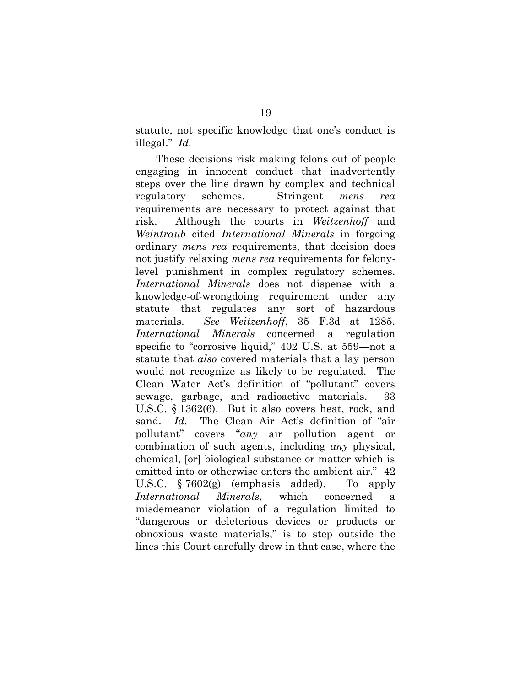statute, not specific knowledge that one's conduct is illegal." *Id.* 

These decisions risk making felons out of people engaging in innocent conduct that inadvertently steps over the line drawn by complex and technical regulatory schemes. Stringent *mens rea* requirements are necessary to protect against that risk. Although the courts in *Weitzenhoff* and *Weintraub* cited *International Minerals* in forgoing ordinary *mens rea* requirements, that decision does not justify relaxing *mens rea* requirements for felonylevel punishment in complex regulatory schemes. *International Minerals* does not dispense with a knowledge-of-wrongdoing requirement under any statute that regulates any sort of hazardous materials. *See Weitzenhoff*, 35 F.3d at 1285. *International Minerals* concerned a regulation specific to "corrosive liquid," 402 U.S. at 559—not a statute that *also* covered materials that a lay person would not recognize as likely to be regulated. The Clean Water Act's definition of "pollutant" covers sewage, garbage, and radioactive materials. 33 U.S.C. § 1362(6). But it also covers heat, rock, and sand. *Id.* The Clean Air Act's definition of "air pollutant" covers "*any* air pollution agent or combination of such agents, including *any* physical, chemical, [or] biological substance or matter which is emitted into or otherwise enters the ambient air." 42 U.S.C. § 7602(g) (emphasis added). To apply *International Minerals*, which concerned a misdemeanor violation of a regulation limited to "dangerous or deleterious devices or products or obnoxious waste materials," is to step outside the lines this Court carefully drew in that case, where the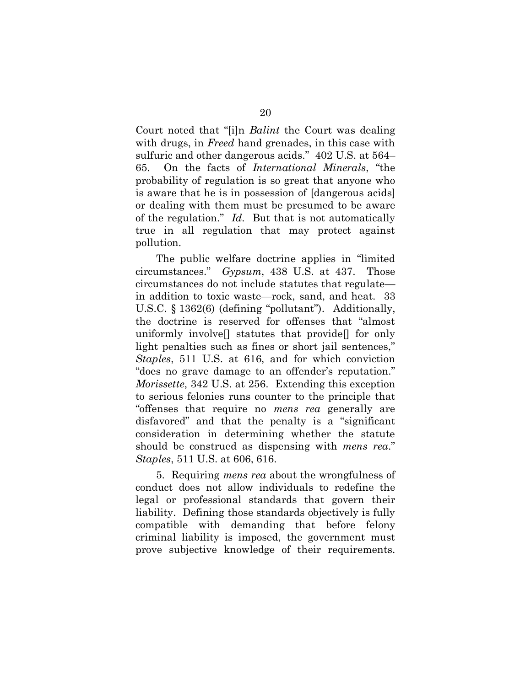Court noted that "[i]n *Balint* the Court was dealing with drugs, in *Freed* hand grenades, in this case with sulfuric and other dangerous acids." 402 U.S. at 564– 65. On the facts of *International Minerals*, "the probability of regulation is so great that anyone who is aware that he is in possession of [dangerous acids] or dealing with them must be presumed to be aware of the regulation." *Id.* But that is not automatically true in all regulation that may protect against pollution.

The public welfare doctrine applies in "limited circumstances." *Gypsum*, 438 U.S. at 437. Those circumstances do not include statutes that regulate in addition to toxic waste—rock, sand, and heat. 33 U.S.C. § 1362(6) (defining "pollutant"). Additionally, the doctrine is reserved for offenses that "almost uniformly involve[] statutes that provide[] for only light penalties such as fines or short jail sentences," *Staples*, 511 U.S. at 616, and for which conviction "does no grave damage to an offender's reputation." *Morissette*, 342 U.S. at 256. Extending this exception to serious felonies runs counter to the principle that "offenses that require no *mens rea* generally are disfavored" and that the penalty is a "significant consideration in determining whether the statute should be construed as dispensing with *mens rea*." *Staples*, 511 U.S. at 606, 616.

5. Requiring *mens rea* about the wrongfulness of conduct does not allow individuals to redefine the legal or professional standards that govern their liability. Defining those standards objectively is fully compatible with demanding that before felony criminal liability is imposed, the government must prove subjective knowledge of their requirements.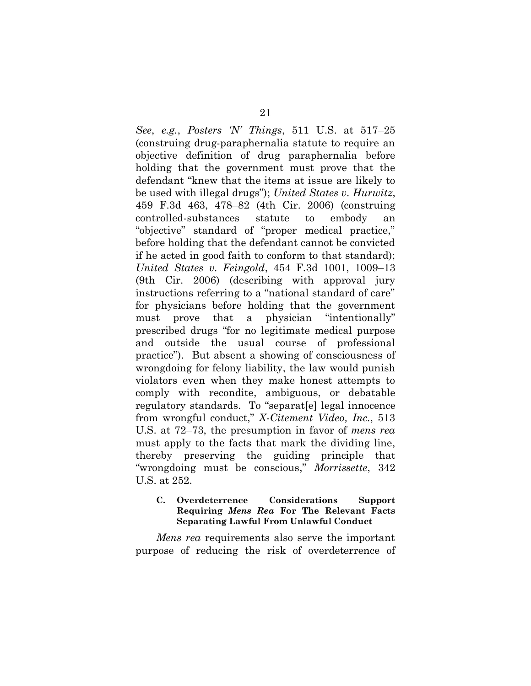*See*, *e.g.*, *Posters 'N' Things*, 511 U.S. at 517–25 (construing drug-paraphernalia statute to require an objective definition of drug paraphernalia before holding that the government must prove that the defendant "knew that the items at issue are likely to be used with illegal drugs"); *United States v. Hurwitz*, 459 F.3d 463, 478–82 (4th Cir. 2006) (construing controlled-substances statute to embody an "objective" standard of "proper medical practice," before holding that the defendant cannot be convicted if he acted in good faith to conform to that standard); *United States v. Feingold*, 454 F.3d 1001, 1009–13 (9th Cir. 2006) (describing with approval jury instructions referring to a "national standard of care" for physicians before holding that the government must prove that a physician "intentionally" prescribed drugs "for no legitimate medical purpose and outside the usual course of professional practice"). But absent a showing of consciousness of wrongdoing for felony liability, the law would punish violators even when they make honest attempts to comply with recondite, ambiguous, or debatable regulatory standards. To "separat[e] legal innocence from wrongful conduct," *X-Citement Video, Inc.*, 513 U.S. at 72–73, the presumption in favor of *mens rea* must apply to the facts that mark the dividing line, thereby preserving the guiding principle that "wrongdoing must be conscious," *Morrissette*, 342 U.S. at 252.

#### <span id="page-27-0"></span>**C. Overdeterrence Considerations Support Requiring** *Mens Rea* **For The Relevant Facts Separating Lawful From Unlawful Conduct**

*Mens rea* requirements also serve the important purpose of reducing the risk of overdeterrence of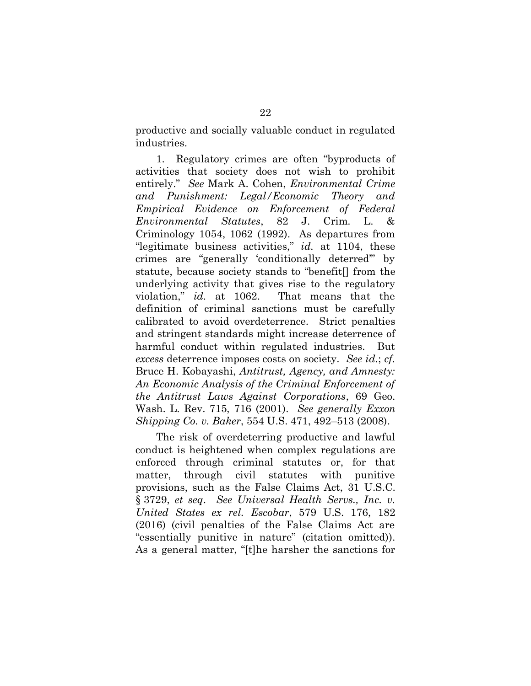productive and socially valuable conduct in regulated industries.

1. Regulatory crimes are often "byproducts of activities that society does not wish to prohibit entirely." *See* Mark A. Cohen, *Environmental Crime and Punishment: Legal/Economic Theory and Empirical Evidence on Enforcement of Federal Environmental Statutes*, 82 J. Crim. L. & Criminology 1054, 1062 (1992). As departures from "legitimate business activities," *id.* at 1104, these crimes are "generally 'conditionally deterred'" by statute, because society stands to "benefit[] from the underlying activity that gives rise to the regulatory violation," *id.* at 1062. That means that the definition of criminal sanctions must be carefully calibrated to avoid overdeterrence. Strict penalties and stringent standards might increase deterrence of harmful conduct within regulated industries. But *excess* deterrence imposes costs on society. *See id.*; *cf.* Bruce H. Kobayashi, *Antitrust, Agency, and Amnesty: An Economic Analysis of the Criminal Enforcement of the Antitrust Laws Against Corporations*, 69 Geo. Wash. L. Rev. 715, 716 (2001). *See generally Exxon Shipping Co. v. Baker*, 554 U.S. 471, 492–513 (2008).

The risk of overdeterring productive and lawful conduct is heightened when complex regulations are enforced through criminal statutes or, for that matter, through civil statutes with punitive provisions, such as the False Claims Act, 31 U.S.C. § 3729, *et seq*. *See Universal Health Servs., Inc. v. United States ex rel. Escobar*, 579 U.S. 176, 182 (2016) (civil penalties of the False Claims Act are "essentially punitive in nature" (citation omitted)). As a general matter, "[t]he harsher the sanctions for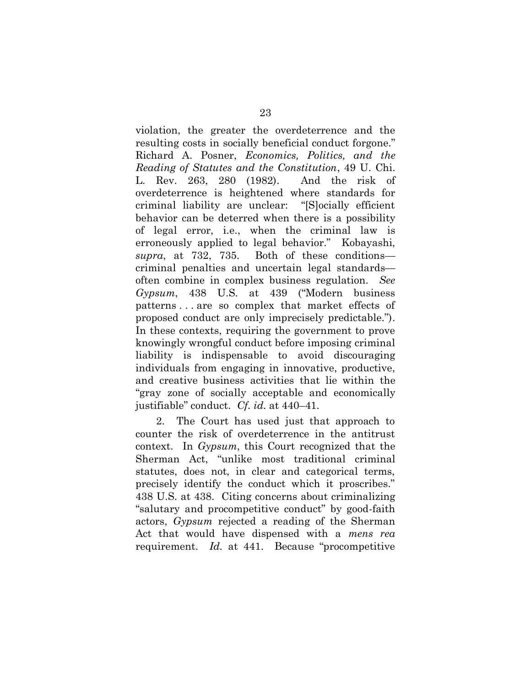violation, the greater the overdeterrence and the resulting costs in socially beneficial conduct forgone." Richard A. Posner, *Economics, Politics, and the Reading of Statutes and the Constitution*, 49 U. Chi. L. Rev. 263, 280 (1982). And the risk of overdeterrence is heightened where standards for criminal liability are unclear: "[S]ocially efficient behavior can be deterred when there is a possibility of legal error, i.e., when the criminal law is erroneously applied to legal behavior." Kobayashi, *supra*, at 732, 735. Both of these conditions criminal penalties and uncertain legal standards often combine in complex business regulation. *See Gypsum*, 438 U.S. at 439 ("Modern business patterns . . . are so complex that market effects of proposed conduct are only imprecisely predictable."). In these contexts, requiring the government to prove knowingly wrongful conduct before imposing criminal liability is indispensable to avoid discouraging individuals from engaging in innovative, productive, and creative business activities that lie within the "gray zone of socially acceptable and economically justifiable" conduct. *Cf. id.* at 440–41.

2. The Court has used just that approach to counter the risk of overdeterrence in the antitrust context. In *Gypsum*, this Court recognized that the Sherman Act, "unlike most traditional criminal statutes, does not, in clear and categorical terms, precisely identify the conduct which it proscribes." 438 U.S. at 438. Citing concerns about criminalizing "salutary and procompetitive conduct" by good-faith actors, *Gypsum* rejected a reading of the Sherman Act that would have dispensed with a *mens rea* requirement. *Id.* at 441. Because "procompetitive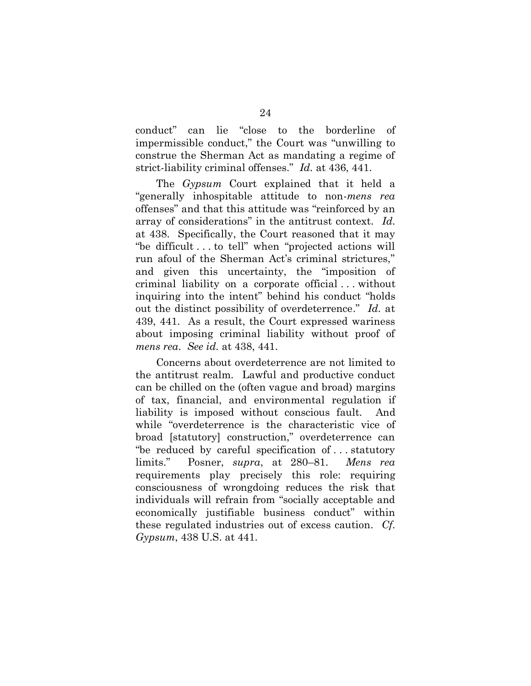conduct" can lie "close to the borderline of impermissible conduct," the Court was "unwilling to construe the Sherman Act as mandating a regime of strict-liability criminal offenses." *Id.* at 436, 441.

The *Gypsum* Court explained that it held a "generally inhospitable attitude to non-*mens rea* offenses" and that this attitude was "reinforced by an array of considerations" in the antitrust context. *Id.* at 438. Specifically, the Court reasoned that it may "be difficult . . . to tell" when "projected actions will run afoul of the Sherman Act's criminal strictures," and given this uncertainty, the "imposition of criminal liability on a corporate official . . . without inquiring into the intent" behind his conduct "holds out the distinct possibility of overdeterrence." *Id.* at 439, 441. As a result, the Court expressed wariness about imposing criminal liability without proof of *mens rea*. *See id.* at 438, 441.

Concerns about overdeterrence are not limited to the antitrust realm. Lawful and productive conduct can be chilled on the (often vague and broad) margins of tax, financial, and environmental regulation if liability is imposed without conscious fault. And while "overdeterrence is the characteristic vice of broad [statutory] construction," overdeterrence can "be reduced by careful specification of . . . statutory limits." Posner, *supra*, at 280–81. *Mens rea* requirements play precisely this role: requiring consciousness of wrongdoing reduces the risk that individuals will refrain from "socially acceptable and economically justifiable business conduct" within these regulated industries out of excess caution. *Cf. Gypsum*, 438 U.S. at 441.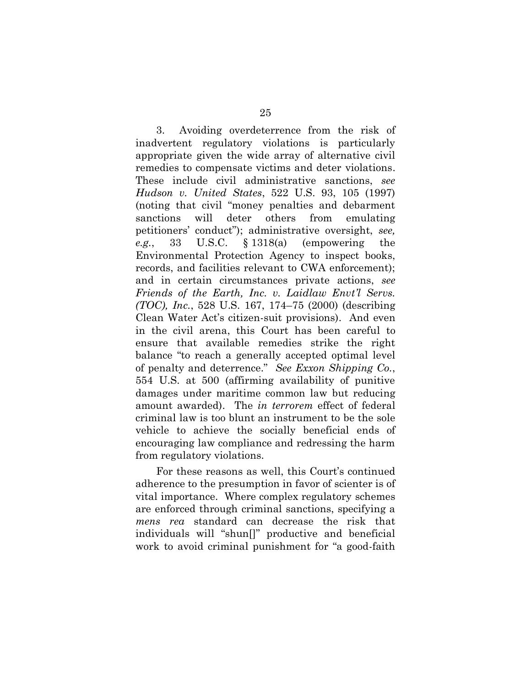3. Avoiding overdeterrence from the risk of inadvertent regulatory violations is particularly appropriate given the wide array of alternative civil remedies to compensate victims and deter violations. These include civil administrative sanctions, *see Hudson v. United States*, 522 U.S. 93, 105 (1997) (noting that civil "money penalties and debarment sanctions will deter others from emulating petitioners' conduct"); administrative oversight, *see, e.g.*, 33 U.S.C. § 1318(a) (empowering the Environmental Protection Agency to inspect books, records, and facilities relevant to CWA enforcement); and in certain circumstances private actions, *see Friends of the Earth, Inc. v. Laidlaw Envt'l Servs. (TOC), Inc.*, 528 U.S. 167, 174–75 (2000) (describing Clean Water Act's citizen-suit provisions). And even in the civil arena, this Court has been careful to ensure that available remedies strike the right balance "to reach a generally accepted optimal level of penalty and deterrence." *See Exxon Shipping Co.*, 554 U.S. at 500 (affirming availability of punitive damages under maritime common law but reducing amount awarded). The *in terrorem* effect of federal criminal law is too blunt an instrument to be the sole vehicle to achieve the socially beneficial ends of encouraging law compliance and redressing the harm from regulatory violations.

For these reasons as well, this Court's continued adherence to the presumption in favor of scienter is of vital importance. Where complex regulatory schemes are enforced through criminal sanctions, specifying a *mens rea* standard can decrease the risk that individuals will "shun[]" productive and beneficial work to avoid criminal punishment for "a good-faith